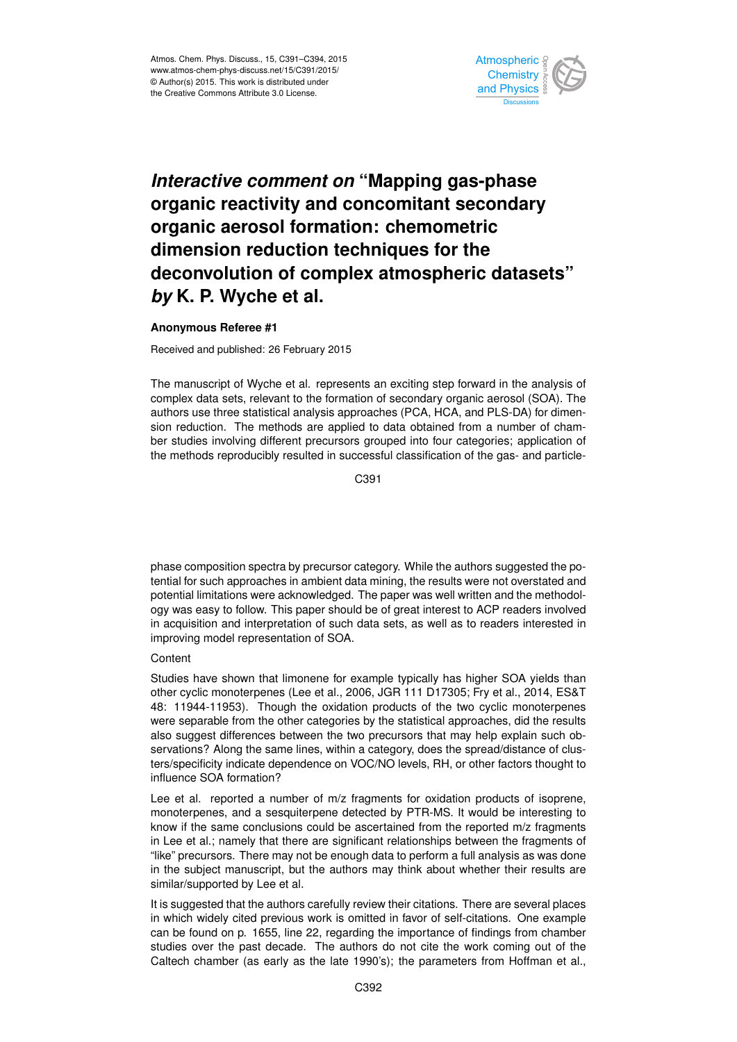

## *Interactive comment on* **"Mapping gas-phase organic reactivity and concomitant secondary organic aerosol formation: chemometric dimension reduction techniques for the deconvolution of complex atmospheric datasets"** *by* **K. P. Wyche et al.**

## **Anonymous Referee #1**

Received and published: 26 February 2015

The manuscript of Wyche et al. represents an exciting step forward in the analysis of complex data sets, relevant to the formation of secondary organic aerosol (SOA). The authors use three statistical analysis approaches (PCA, HCA, and PLS-DA) for dimension reduction. The methods are applied to data obtained from a number of chamber studies involving different precursors grouped into four categories; application of the methods reproducibly resulted in successful classification of the gas- and particle-

C391

phase composition spectra by precursor category. While the authors suggested the potential for such approaches in ambient data mining, the results were not overstated and potential limitations were acknowledged. The paper was well written and the methodology was easy to follow. This paper should be of great interest to ACP readers involved in acquisition and interpretation of such data sets, as well as to readers interested in improving model representation of SOA.

## **Content**

Studies have shown that limonene for example typically has higher SOA yields than other cyclic monoterpenes (Lee et al., 2006, JGR 111 D17305; Fry et al., 2014, ES&T 48: 11944-11953). Though the oxidation products of the two cyclic monoterpenes were separable from the other categories by the statistical approaches, did the results also suggest differences between the two precursors that may help explain such observations? Along the same lines, within a category, does the spread/distance of clusters/specificity indicate dependence on VOC/NO levels, RH, or other factors thought to influence SOA formation?

Lee et al. reported a number of m/z fragments for oxidation products of isoprene, monoterpenes, and a sesquiterpene detected by PTR-MS. It would be interesting to know if the same conclusions could be ascertained from the reported m/z fragments in Lee et al.; namely that there are significant relationships between the fragments of "like" precursors. There may not be enough data to perform a full analysis as was done in the subject manuscript, but the authors may think about whether their results are similar/supported by Lee et al.

It is suggested that the authors carefully review their citations. There are several places in which widely cited previous work is omitted in favor of self-citations. One example can be found on p. 1655, line 22, regarding the importance of findings from chamber studies over the past decade. The authors do not cite the work coming out of the Caltech chamber (as early as the late 1990's); the parameters from Hoffman et al.,